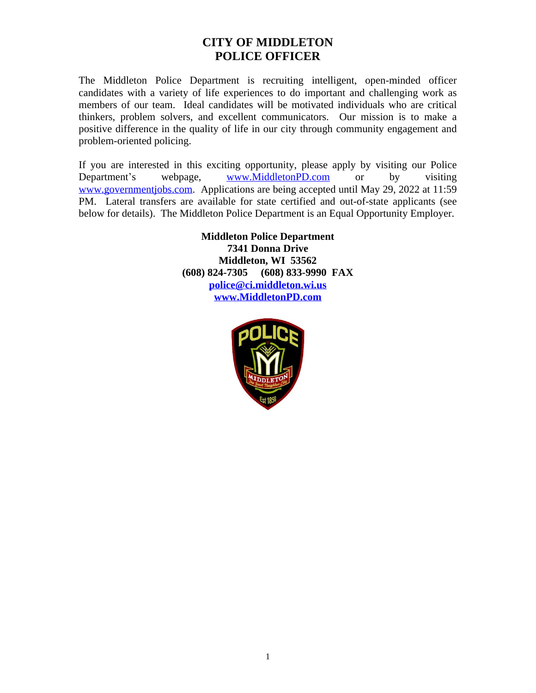# **CITY OF MIDDLETON POLICE OFFICER**

The Middleton Police Department is recruiting intelligent, open-minded officer candidates with a variety of life experiences to do important and challenging work as members of our team. Ideal candidates will be motivated individuals who are critical thinkers, problem solvers, and excellent communicators. Our mission is to make a positive difference in the quality of life in our city through community engagement and problem-oriented policing.

If you are interested in this exciting opportunity, please apply by visiting our Police Department's webpage, [www.MiddletonPD.com](http://www.MiddletonPD.com) or by visiting [www.governmentjobs.com.](http://www.governmentjobs.com) Applications are being accepted until May 29, 2022 at 11:59 PM. Lateral transfers are available for state certified and out-of-state applicants (see below for details). The Middleton Police Department is an Equal Opportunity Employer.

> **Middleton Police Department 7341 Donna Drive Middleton, WI 53562 (608) 824-7305 (608) 833-9990 FAX [police@ci.middleton.wi.us](mailto:police@ci.middleton.wi.us) [www.MiddletonPD.com](http://www.MiddletonPD.com)**

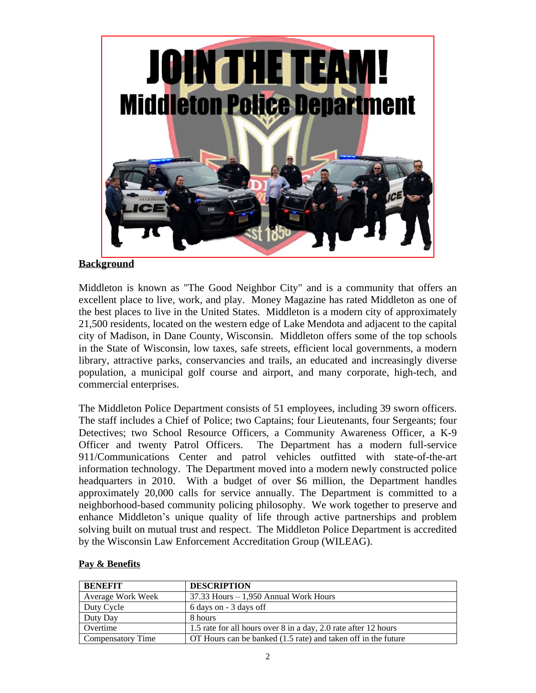

## **Background**

Middleton is known as "The Good Neighbor City" and is a community that offers an excellent place to live, work, and play. Money Magazine has rated Middleton as one of the best places to live in the United States. Middleton is a modern city of approximately 21,500 residents, located on the western edge of Lake Mendota and adjacent to the capital city of Madison, in Dane County, Wisconsin. Middleton offers some of the top schools in the State of Wisconsin, low taxes, safe streets, efficient local governments, a modern library, attractive parks, conservancies and trails, an educated and increasingly diverse population, a municipal golf course and airport, and many corporate, high-tech, and commercial enterprises.

The Middleton Police Department consists of 51 employees, including 39 sworn officers. The staff includes a Chief of Police; two Captains; four Lieutenants, four Sergeants; four Detectives; two School Resource Officers, a Community Awareness Officer, a K-9 Officer and twenty Patrol Officers. The Department has a modern full-service 911/Communications Center and patrol vehicles outfitted with state-of-the-art information technology. The Department moved into a modern newly constructed police headquarters in 2010. With a budget of over \$6 million, the Department handles approximately 20,000 calls for service annually. The Department is committed to a neighborhood-based community policing philosophy. We work together to preserve and enhance Middleton's unique quality of life through active partnerships and problem solving built on mutual trust and respect. The Middleton Police Department is accredited by the Wisconsin Law Enforcement Accreditation Group (WILEAG).

| BENEFIT                  | <b>DESCRIPTION</b>                                              |
|--------------------------|-----------------------------------------------------------------|
| Average Work Week        | $37.33$ Hours $-1,950$ Annual Work Hours                        |
| Duty Cycle               | 6 days on - 3 days off                                          |
| Duty Day                 | 8 hours                                                         |
| Overtime                 | 1.5 rate for all hours over 8 in a day, 2.0 rate after 12 hours |
| <b>Compensatory Time</b> | OT Hours can be banked (1.5 rate) and taken off in the future   |

## **Pay & Benefits**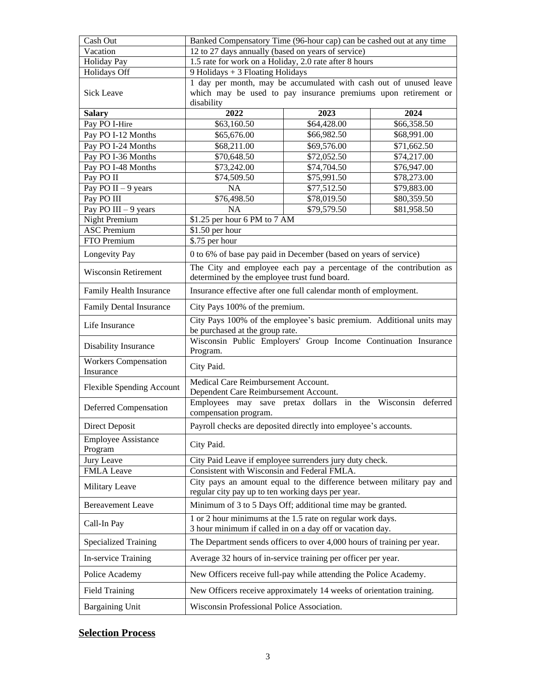| Cash Out                              | Banked Compensatory Time (96-hour cap) can be cashed out at any time                                                                              |             |             |  |
|---------------------------------------|---------------------------------------------------------------------------------------------------------------------------------------------------|-------------|-------------|--|
| Vacation                              | 12 to 27 days annually (based on years of service)                                                                                                |             |             |  |
| <b>Holiday Pay</b>                    | 1.5 rate for work on a Holiday, 2.0 rate after 8 hours                                                                                            |             |             |  |
| Holidays Off                          | 9 Holidays + 3 Floating Holidays                                                                                                                  |             |             |  |
| Sick Leave                            | 1 day per month, may be accumulated with cash out of unused leave<br>which may be used to pay insurance premiums upon retirement or<br>disability |             |             |  |
| <b>Salary</b>                         | 2022                                                                                                                                              | 2023        | 2024        |  |
| Pay PO I-Hire                         | \$63,160.50                                                                                                                                       | \$64,428.00 | \$66,358.50 |  |
| Pay PO I-12 Months                    | \$65,676.00                                                                                                                                       | \$66,982.50 | \$68,991.00 |  |
| Pay PO I-24 Months                    | \$68,211.00                                                                                                                                       | \$69,576.00 | \$71,662.50 |  |
| Pay PO I-36 Months                    | \$70,648.50                                                                                                                                       | \$72,052.50 | \$74,217.00 |  |
| Pay PO I-48 Months                    | \$73,242.00                                                                                                                                       | \$74,704.50 | \$76,947.00 |  |
| Pay PO II                             | \$74,509.50                                                                                                                                       | \$75,991.50 | \$78,273.00 |  |
| Pay PO II $-9$ years                  | <b>NA</b>                                                                                                                                         | \$77,512.50 | \$79,883.00 |  |
| Pay PO III                            | \$76,498.50                                                                                                                                       | \$78,019.50 | \$80,359.50 |  |
| Pay PO III $-9$ years                 | <b>NA</b><br>\$79,579.50<br>\$81,958.50                                                                                                           |             |             |  |
| <b>Night Premium</b>                  | \$1.25 per hour 6 PM to 7 AM                                                                                                                      |             |             |  |
| <b>ASC Premium</b>                    | \$1.50 per hour                                                                                                                                   |             |             |  |
| FTO Premium                           | \$.75 per hour                                                                                                                                    |             |             |  |
| Longevity Pay                         | 0 to 6% of base pay paid in December (based on years of service)                                                                                  |             |             |  |
| <b>Wisconsin Retirement</b>           | The City and employee each pay a percentage of the contribution as<br>determined by the employee trust fund board.                                |             |             |  |
| Family Health Insurance               | Insurance effective after one full calendar month of employment.                                                                                  |             |             |  |
| <b>Family Dental Insurance</b>        | City Pays 100% of the premium.                                                                                                                    |             |             |  |
| Life Insurance                        | City Pays 100% of the employee's basic premium. Additional units may<br>be purchased at the group rate.                                           |             |             |  |
| Disability Insurance                  | Wisconsin Public Employers' Group Income Continuation Insurance<br>Program.                                                                       |             |             |  |
| Workers Compensation<br>Insurance     | City Paid.                                                                                                                                        |             |             |  |
| <b>Flexible Spending Account</b>      | Medical Care Reimbursement Account.<br>Dependent Care Reimbursement Account.                                                                      |             |             |  |
| Deferred Compensation                 | Employees may save pretax dollars in the<br>Wisconsin deferred<br>compensation program.                                                           |             |             |  |
| Direct Deposit                        | Payroll checks are deposited directly into employee's accounts.                                                                                   |             |             |  |
| <b>Employee Assistance</b><br>Program | City Paid.                                                                                                                                        |             |             |  |
| Jury Leave                            | City Paid Leave if employee surrenders jury duty check.                                                                                           |             |             |  |
| <b>FMLA</b> Leave                     | Consistent with Wisconsin and Federal FMLA.                                                                                                       |             |             |  |
| Military Leave                        | City pays an amount equal to the difference between military pay and<br>regular city pay up to ten working days per year.                         |             |             |  |
| <b>Bereavement Leave</b>              | Minimum of 3 to 5 Days Off; additional time may be granted.                                                                                       |             |             |  |
| Call-In Pay                           | 1 or 2 hour minimums at the 1.5 rate on regular work days.<br>3 hour minimum if called in on a day off or vacation day.                           |             |             |  |
| <b>Specialized Training</b>           | The Department sends officers to over 4,000 hours of training per year.                                                                           |             |             |  |
| In-service Training                   | Average 32 hours of in-service training per officer per year.                                                                                     |             |             |  |
| Police Academy                        | New Officers receive full-pay while attending the Police Academy.                                                                                 |             |             |  |
| <b>Field Training</b>                 | New Officers receive approximately 14 weeks of orientation training.                                                                              |             |             |  |
| <b>Bargaining Unit</b>                | Wisconsin Professional Police Association.                                                                                                        |             |             |  |

# **Selection Process**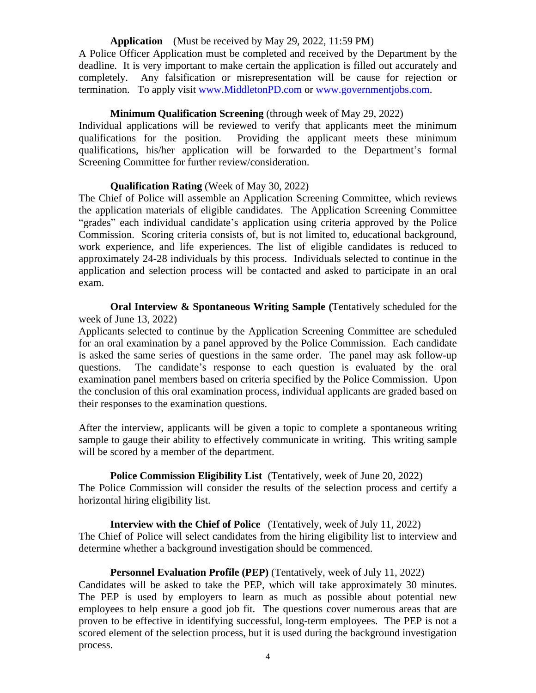#### **Application** (Must be received by May 29, 2022, 11:59 PM)

A Police Officer Application must be completed and received by the Department by the deadline. It is very important to make certain the application is filled out accurately and completely. Any falsification or misrepresentation will be cause for rejection or termination. To apply visit [www.MiddletonPD.com](http://www.MiddletonPD.com) or [www.governmentjobs.com.](http://www.governmentjobs.com)

#### **Minimum Qualification Screening** (through week of May 29, 2022)

Individual applications will be reviewed to verify that applicants meet the minimum qualifications for the position. Providing the applicant meets these minimum qualifications, his/her application will be forwarded to the Department's formal Screening Committee for further review/consideration.

#### **Qualification Rating** (Week of May 30, 2022)

The Chief of Police will assemble an Application Screening Committee, which reviews the application materials of eligible candidates. The Application Screening Committee "grades" each individual candidate's application using criteria approved by the Police Commission. Scoring criteria consists of, but is not limited to, educational background, work experience, and life experiences. The list of eligible candidates is reduced to approximately 24-28 individuals by this process. Individuals selected to continue in the application and selection process will be contacted and asked to participate in an oral exam.

**Oral Interview & Spontaneous Writing Sample (**Tentatively scheduled for the week of June 13, 2022)

Applicants selected to continue by the Application Screening Committee are scheduled for an oral examination by a panel approved by the Police Commission. Each candidate is asked the same series of questions in the same order. The panel may ask follow-up questions. The candidate's response to each question is evaluated by the oral examination panel members based on criteria specified by the Police Commission. Upon the conclusion of this oral examination process, individual applicants are graded based on their responses to the examination questions.

After the interview, applicants will be given a topic to complete a spontaneous writing sample to gauge their ability to effectively communicate in writing. This writing sample will be scored by a member of the department.

**Police Commission Eligibility List** (Tentatively, week of June 20, 2022) The Police Commission will consider the results of the selection process and certify a horizontal hiring eligibility list.

**Interview with the Chief of Police** (Tentatively, week of July 11, 2022) The Chief of Police will select candidates from the hiring eligibility list to interview and determine whether a background investigation should be commenced.

#### **Personnel Evaluation Profile (PEP)** (Tentatively, week of July 11, 2022)

Candidates will be asked to take the PEP, which will take approximately 30 minutes. The PEP is used by employers to learn as much as possible about potential new employees to help ensure a good job fit. The questions cover numerous areas that are proven to be effective in identifying successful, long-term employees. The PEP is not a scored element of the selection process, but it is used during the background investigation process.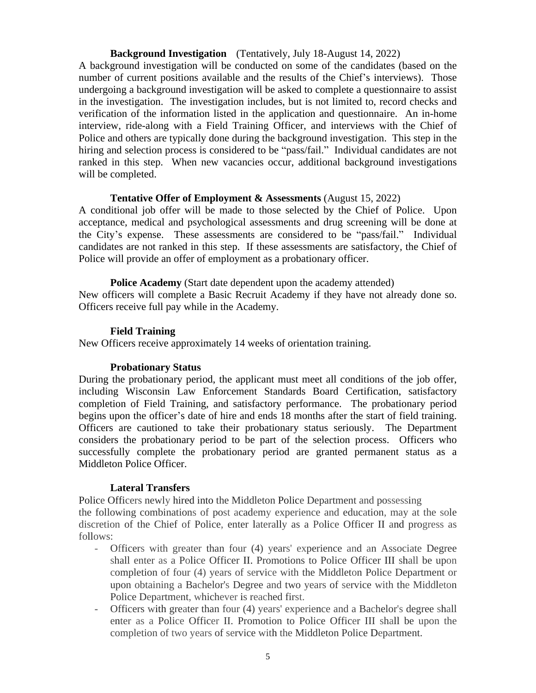**Background Investigation** (Tentatively, July 18-August 14, 2022)

A background investigation will be conducted on some of the candidates (based on the number of current positions available and the results of the Chief's interviews). Those undergoing a background investigation will be asked to complete a questionnaire to assist in the investigation. The investigation includes, but is not limited to, record checks and verification of the information listed in the application and questionnaire. An in-home interview, ride-along with a Field Training Officer, and interviews with the Chief of Police and others are typically done during the background investigation. This step in the hiring and selection process is considered to be "pass/fail." Individual candidates are not ranked in this step. When new vacancies occur, additional background investigations will be completed.

### **Tentative Offer of Employment & Assessments** (August 15, 2022)

A conditional job offer will be made to those selected by the Chief of Police. Upon acceptance, medical and psychological assessments and drug screening will be done at the City's expense. These assessments are considered to be "pass/fail." Individual candidates are not ranked in this step. If these assessments are satisfactory, the Chief of Police will provide an offer of employment as a probationary officer.

**Police Academy** (Start date dependent upon the academy attended) New officers will complete a Basic Recruit Academy if they have not already done so. Officers receive full pay while in the Academy.

## **Field Training**

New Officers receive approximately 14 weeks of orientation training.

## **Probationary Status**

During the probationary period, the applicant must meet all conditions of the job offer, including Wisconsin Law Enforcement Standards Board Certification, satisfactory completion of Field Training, and satisfactory performance. The probationary period begins upon the officer's date of hire and ends 18 months after the start of field training. Officers are cautioned to take their probationary status seriously. The Department considers the probationary period to be part of the selection process. Officers who successfully complete the probationary period are granted permanent status as a Middleton Police Officer.

## **Lateral Transfers**

Police Officers newly hired into the Middleton Police Department and possessing

the following combinations of post academy experience and education, may at the sole discretion of the Chief of Police, enter laterally as a Police Officer II and progress as follows:

- Officers with greater than four (4) years' experience and an Associate Degree shall enter as a Police Officer II. Promotions to Police Officer III shall be upon completion of four (4) years of service with the Middleton Police Department or upon obtaining a Bachelor's Degree and two years of service with the Middleton Police Department, whichever is reached first.
- **-** Officers with greater than four (4) years' experience and a Bachelor's degree shall enter as a Police Officer II. Promotion to Police Officer III shall be upon the completion of two years of service with the Middleton Police Department.